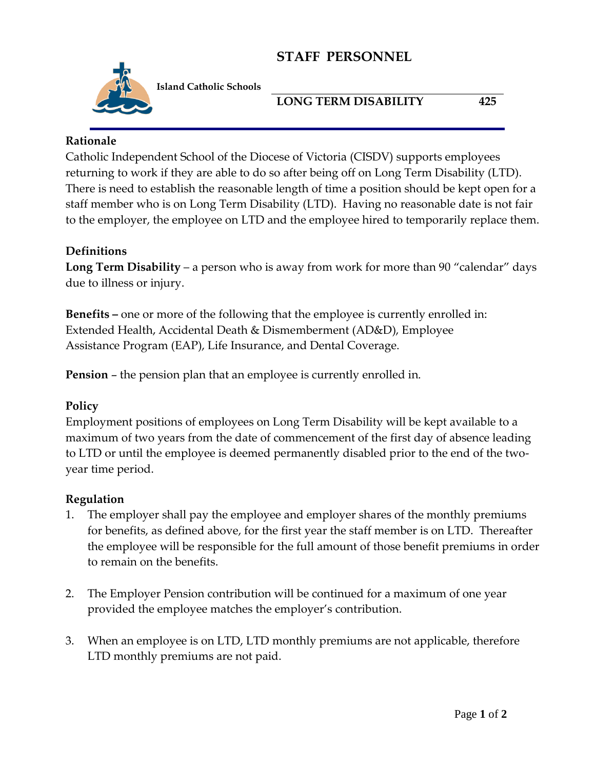## **STAFF PERSONNEL**



**Island Catholic Schools** 

## **LONG TERM DISABILITY 425**

#### **Rationale**

Catholic Independent School of the Diocese of Victoria (CISDV) supports employees returning to work if they are able to do so after being off on Long Term Disability (LTD). There is need to establish the reasonable length of time a position should be kept open for a staff member who is on Long Term Disability (LTD). Having no reasonable date is not fair to the employer, the employee on LTD and the employee hired to temporarily replace them.

## **Definitions**

**Long Term Disability** – a person who is away from work for more than 90 "calendar" days due to illness or injury.

**Benefits –** one or more of the following that the employee is currently enrolled in: Extended Health, Accidental Death & Dismemberment (AD&D), Employee Assistance Program (EAP), Life Insurance, and Dental Coverage.

**Pension** – the pension plan that an employee is currently enrolled in.

#### **Policy**

Employment positions of employees on Long Term Disability will be kept available to a maximum of two years from the date of commencement of the first day of absence leading to LTD or until the employee is deemed permanently disabled prior to the end of the twoyear time period.

#### **Regulation**

- 1. The employer shall pay the employee and employer shares of the monthly premiums for benefits, as defined above, for the first year the staff member is on LTD. Thereafter the employee will be responsible for the full amount of those benefit premiums in order to remain on the benefits.
- 2. The Employer Pension contribution will be continued for a maximum of one year provided the employee matches the employer's contribution.
- 3. When an employee is on LTD, LTD monthly premiums are not applicable, therefore LTD monthly premiums are not paid.